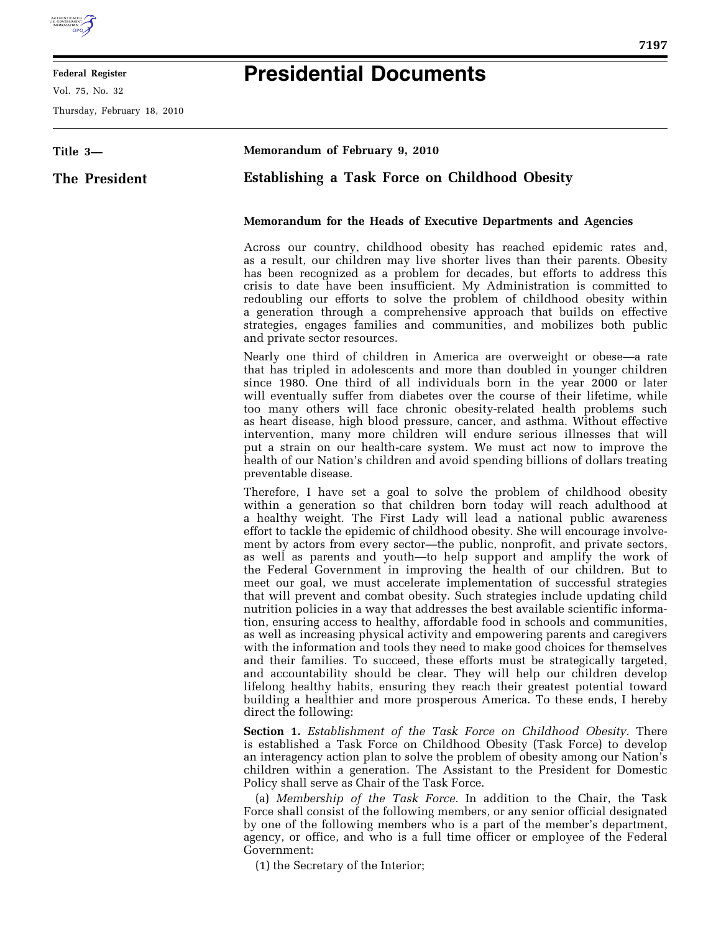

## **Federal Register**

Vol. 75, No. 32

Thursday, February 18, 2010

## **Presidential Documents**

| Title 3-      | Memorandum of February 9, 2010                                                                                                                                                                                                                                                                                                                                                                                                                                                                                                                                                                                                                                                                                                                                                                                                                                                                                                                                                                                                                                                                                                                                                                                                                                                                                                                                                                         |
|---------------|--------------------------------------------------------------------------------------------------------------------------------------------------------------------------------------------------------------------------------------------------------------------------------------------------------------------------------------------------------------------------------------------------------------------------------------------------------------------------------------------------------------------------------------------------------------------------------------------------------------------------------------------------------------------------------------------------------------------------------------------------------------------------------------------------------------------------------------------------------------------------------------------------------------------------------------------------------------------------------------------------------------------------------------------------------------------------------------------------------------------------------------------------------------------------------------------------------------------------------------------------------------------------------------------------------------------------------------------------------------------------------------------------------|
| The President | <b>Establishing a Task Force on Childhood Obesity</b>                                                                                                                                                                                                                                                                                                                                                                                                                                                                                                                                                                                                                                                                                                                                                                                                                                                                                                                                                                                                                                                                                                                                                                                                                                                                                                                                                  |
|               | Memorandum for the Heads of Executive Departments and Agencies                                                                                                                                                                                                                                                                                                                                                                                                                                                                                                                                                                                                                                                                                                                                                                                                                                                                                                                                                                                                                                                                                                                                                                                                                                                                                                                                         |
|               | Across our country, childhood obesity has reached epidemic rates and,<br>as a result, our children may live shorter lives than their parents. Obesity<br>has been recognized as a problem for decades, but efforts to address this<br>crisis to date have been insufficient. My Administration is committed to<br>redoubling our efforts to solve the problem of childhood obesity within<br>a generation through a comprehensive approach that builds on effective<br>strategies, engages families and communities, and mobilizes both public<br>and private sector resources.                                                                                                                                                                                                                                                                                                                                                                                                                                                                                                                                                                                                                                                                                                                                                                                                                        |
|               | Nearly one third of children in America are overweight or obese—a rate<br>that has tripled in adolescents and more than doubled in younger children<br>since 1980. One third of all individuals born in the year 2000 or later<br>will eventually suffer from diabetes over the course of their lifetime, while<br>too many others will face chronic obesity-related health problems such<br>as heart disease, high blood pressure, cancer, and asthma. Without effective<br>intervention, many more children will endure serious illnesses that will<br>put a strain on our health-care system. We must act now to improve the<br>health of our Nation's children and avoid spending billions of dollars treating<br>preventable disease.                                                                                                                                                                                                                                                                                                                                                                                                                                                                                                                                                                                                                                                             |
|               | Therefore, I have set a goal to solve the problem of childhood obesity<br>within a generation so that children born today will reach adulthood at<br>a healthy weight. The First Lady will lead a national public awareness<br>effort to tackle the epidemic of childhood obesity. She will encourage involve-<br>ment by actors from every sector—the public, nonprofit, and private sectors,<br>as well as parents and youth—to help support and amplify the work of<br>the Federal Government in improving the health of our children. But to<br>meet our goal, we must accelerate implementation of successful strategies<br>that will prevent and combat obesity. Such strategies include updating child<br>nutrition policies in a way that addresses the best available scientific informa-<br>tion, ensuring access to healthy, affordable food in schools and communities,<br>as well as increasing physical activity and empowering parents and caregivers<br>with the information and tools they need to make good choices for themselves<br>and their families. To succeed, these efforts must be strategically targeted,<br>and accountability should be clear. They will help our children develop<br>lifelong healthy habits, ensuring they reach their greatest potential toward<br>building a healthier and more prosperous America. To these ends, I hereby<br>direct the following: |
|               | Section 1. Establishment of the Task Force on Childhood Obesity. There<br>is established a Task Force on Childhood Obesity (Task Force) to develop                                                                                                                                                                                                                                                                                                                                                                                                                                                                                                                                                                                                                                                                                                                                                                                                                                                                                                                                                                                                                                                                                                                                                                                                                                                     |

is established a Task Force on Childhood Obesity (Task Force) to develop an interagency action plan to solve the problem of obesity among our Nation's children within a generation. The Assistant to the President for Domestic Policy shall serve as Chair of the Task Force.

(a) *Membership of the Task Force.* In addition to the Chair, the Task Force shall consist of the following members, or any senior official designated by one of the following members who is a part of the member's department, agency, or office, and who is a full time officer or employee of the Federal Government:

(1) the Secretary of the Interior;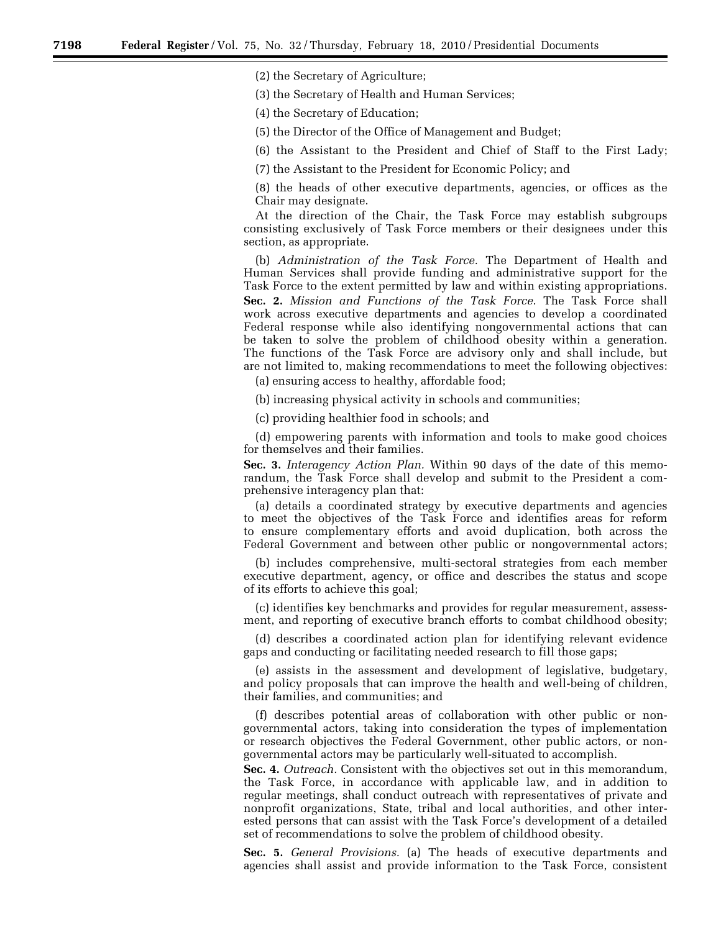(2) the Secretary of Agriculture;

(3) the Secretary of Health and Human Services;

(4) the Secretary of Education;

(5) the Director of the Office of Management and Budget;

(6) the Assistant to the President and Chief of Staff to the First Lady;

(7) the Assistant to the President for Economic Policy; and

(8) the heads of other executive departments, agencies, or offices as the Chair may designate.

At the direction of the Chair, the Task Force may establish subgroups consisting exclusively of Task Force members or their designees under this section, as appropriate.

(b) *Administration of the Task Force.* The Department of Health and Human Services shall provide funding and administrative support for the Task Force to the extent permitted by law and within existing appropriations. **Sec. 2.** *Mission and Functions of the Task Force.* The Task Force shall work across executive departments and agencies to develop a coordinated Federal response while also identifying nongovernmental actions that can be taken to solve the problem of childhood obesity within a generation. The functions of the Task Force are advisory only and shall include, but are not limited to, making recommendations to meet the following objectives:

(a) ensuring access to healthy, affordable food;

(b) increasing physical activity in schools and communities;

(c) providing healthier food in schools; and

(d) empowering parents with information and tools to make good choices for themselves and their families.

**Sec. 3.** *Interagency Action Plan.* Within 90 days of the date of this memorandum, the Task Force shall develop and submit to the President a comprehensive interagency plan that:

(a) details a coordinated strategy by executive departments and agencies to meet the objectives of the Task Force and identifies areas for reform to ensure complementary efforts and avoid duplication, both across the Federal Government and between other public or nongovernmental actors;

(b) includes comprehensive, multi-sectoral strategies from each member executive department, agency, or office and describes the status and scope of its efforts to achieve this goal;

(c) identifies key benchmarks and provides for regular measurement, assessment, and reporting of executive branch efforts to combat childhood obesity;

(d) describes a coordinated action plan for identifying relevant evidence gaps and conducting or facilitating needed research to fill those gaps;

(e) assists in the assessment and development of legislative, budgetary, and policy proposals that can improve the health and well-being of children, their families, and communities; and

(f) describes potential areas of collaboration with other public or nongovernmental actors, taking into consideration the types of implementation or research objectives the Federal Government, other public actors, or nongovernmental actors may be particularly well-situated to accomplish.

**Sec. 4.** *Outreach.* Consistent with the objectives set out in this memorandum, the Task Force, in accordance with applicable law, and in addition to regular meetings, shall conduct outreach with representatives of private and nonprofit organizations, State, tribal and local authorities, and other interested persons that can assist with the Task Force's development of a detailed set of recommendations to solve the problem of childhood obesity.

**Sec. 5.** *General Provisions.* (a) The heads of executive departments and agencies shall assist and provide information to the Task Force, consistent